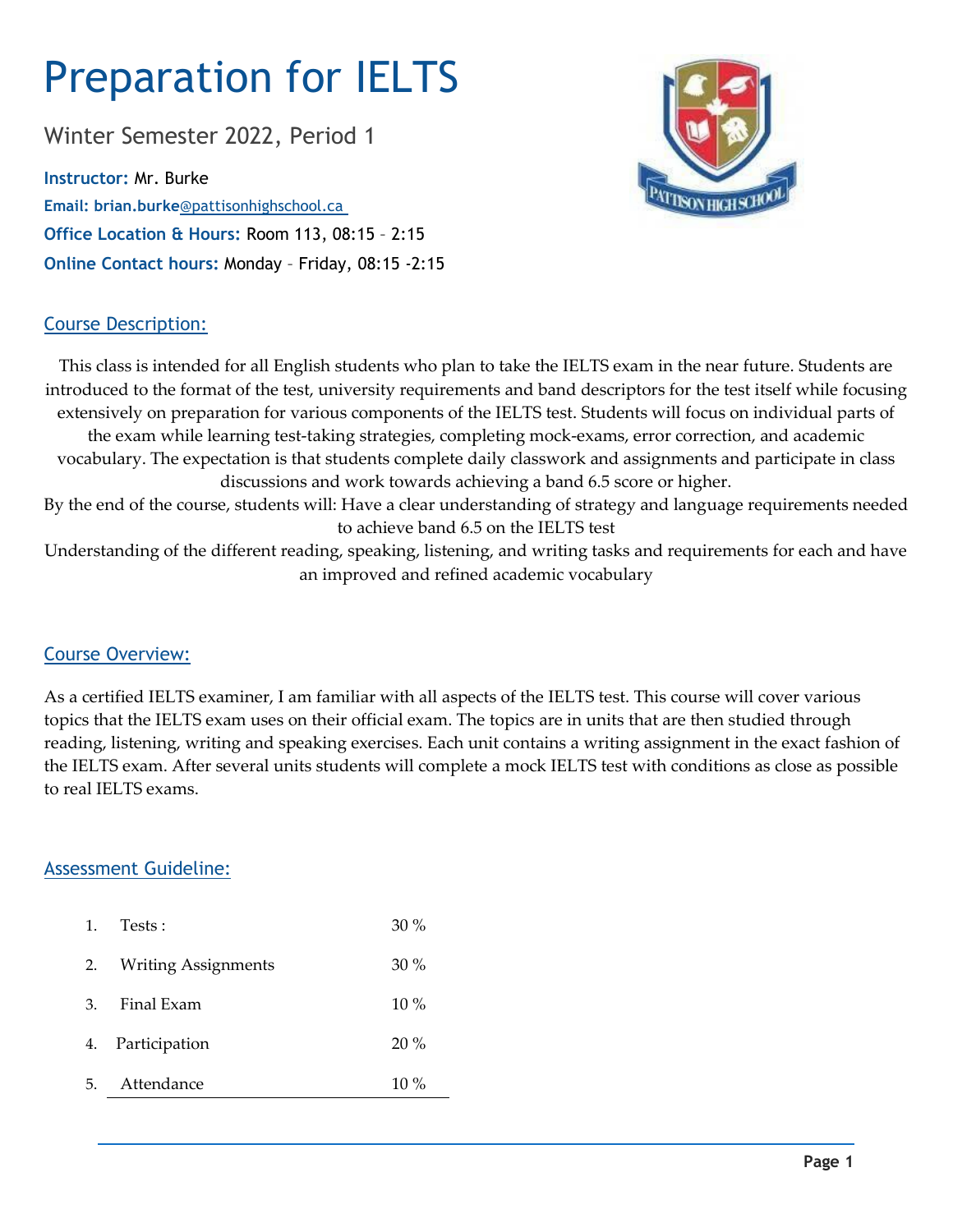# Preparation for IELTS

Winter Semester 2022, Period 1

**Instructor:** Mr. Burke **Email: brian.burke**@pattisonhighschool.ca **Office Location & Hours:** Room 113, 08:15 – 2:15 **Online Contact hours:** Monday – Friday, 08:15 -2:15



## Course Description:

This class is intended for all English students who plan to take the IELTS exam in the near future. Students are introduced to the format of the test, university requirements and band descriptors for the test itself while focusing extensively on preparation for various components of the IELTS test. Students will focus on individual parts of the exam while learning test-taking strategies, completing mock-exams, error correction, and academic vocabulary. The expectation is that students complete daily classwork and assignments and participate in class discussions and work towards achieving a band 6.5 score or higher. By the end of the course, students will: Have a clear understanding of strategy and language requirements needed to achieve band 6.5 on the IELTS test Understanding of the different reading, speaking, listening, and writing tasks and requirements for each and have an improved and refined academic vocabulary

### Course Overview:

As a certified IELTS examiner, I am familiar with all aspects of the IELTS test. This course will cover various topics that the IELTS exam uses on their official exam. The topics are in units that are then studied through reading, listening, writing and speaking exercises. Each unit contains a writing assignment in the exact fashion of the IELTS exam. After several units students will complete a mock IELTS test with conditions as close as possible to real IELTS exams.

# Assessment Guideline:

| 1. | Tests :                    | $30\%$ |
|----|----------------------------|--------|
| 2. | <b>Writing Assignments</b> | $30\%$ |
| 3. | Final Exam                 | $10\%$ |
| 4. | Participation              | $20\%$ |
| 5. | Attendance                 | $10\%$ |